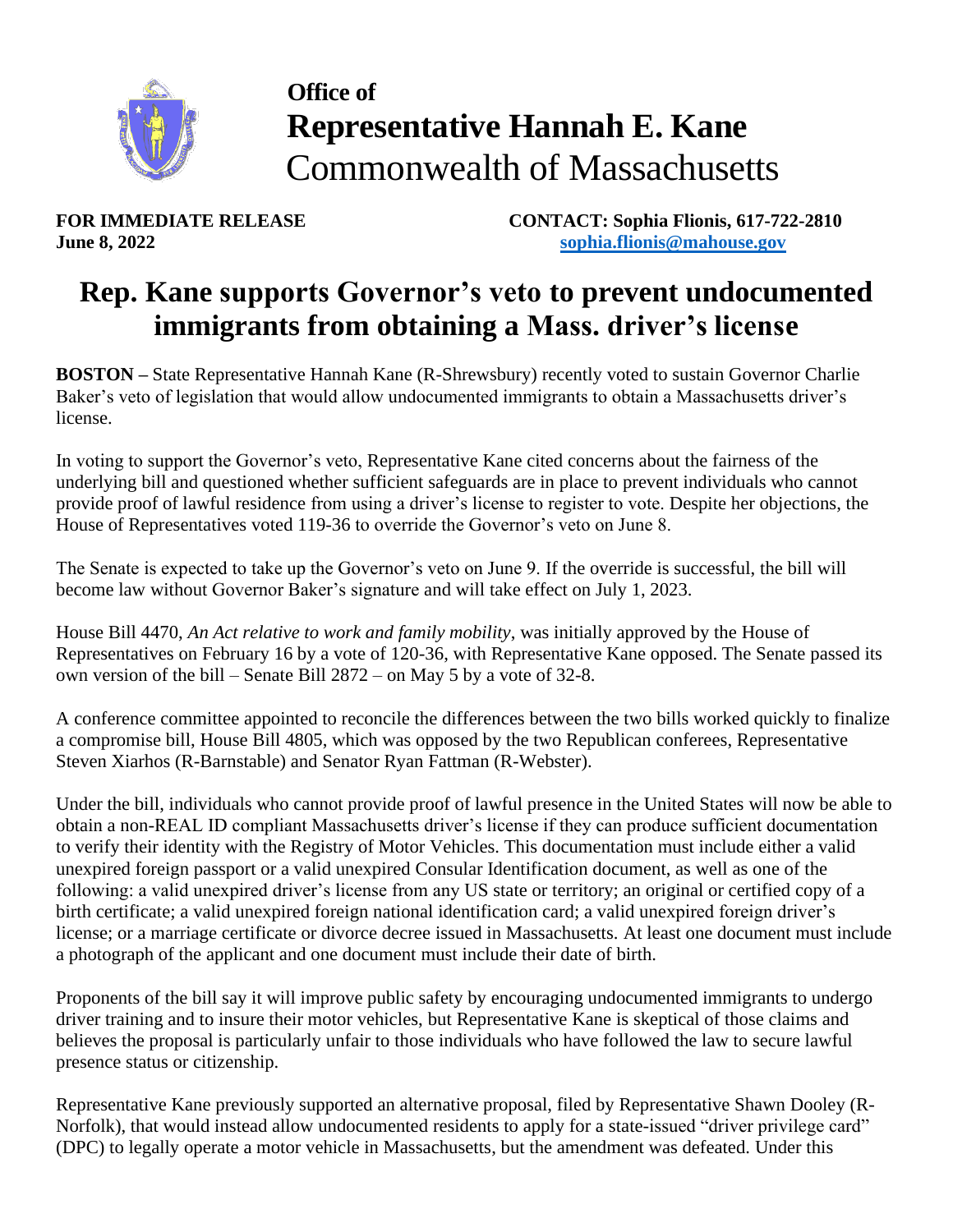

## **Office of Representative Hannah E. Kane** Commonwealth of Massachusetts

**FOR IMMEDIATE RELEASE CONTACT: Sophia Flionis, 617-722-2810 June 8, 2022 [sophia.flionis@mahouse.gov](mailto:sophia.flionis@mahouse.gov)**

## **Rep. Kane supports Governor's veto to prevent undocumented immigrants from obtaining a Mass. driver's license**

**BOSTON –** State Representative Hannah Kane (R-Shrewsbury) recently voted to sustain Governor Charlie Baker's veto of legislation that would allow undocumented immigrants to obtain a Massachusetts driver's license.

In voting to support the Governor's veto, Representative Kane cited concerns about the fairness of the underlying bill and questioned whether sufficient safeguards are in place to prevent individuals who cannot provide proof of lawful residence from using a driver's license to register to vote. Despite her objections, the House of Representatives voted 119-36 to override the Governor's veto on June 8.

The Senate is expected to take up the Governor's veto on June 9. If the override is successful, the bill will become law without Governor Baker's signature and will take effect on July 1, 2023.

House Bill 4470, *An Act relative to work and family mobility*, was initially approved by the House of Representatives on February 16 by a vote of 120-36, with Representative Kane opposed. The Senate passed its own version of the bill – Senate Bill 2872 – on May 5 by a vote of 32-8.

A conference committee appointed to reconcile the differences between the two bills worked quickly to finalize a compromise bill, House Bill 4805, which was opposed by the two Republican conferees, Representative Steven Xiarhos (R-Barnstable) and Senator Ryan Fattman (R-Webster).

Under the bill, individuals who cannot provide proof of lawful presence in the United States will now be able to obtain a non-REAL ID compliant Massachusetts driver's license if they can produce sufficient documentation to verify their identity with the Registry of Motor Vehicles. This documentation must include either a valid unexpired foreign passport or a valid unexpired Consular Identification document, as well as one of the following: a valid unexpired driver's license from any US state or territory; an original or certified copy of a birth certificate; a valid unexpired foreign national identification card; a valid unexpired foreign driver's license; or a marriage certificate or divorce decree issued in Massachusetts. At least one document must include a photograph of the applicant and one document must include their date of birth.

Proponents of the bill say it will improve public safety by encouraging undocumented immigrants to undergo driver training and to insure their motor vehicles, but Representative Kane is skeptical of those claims and believes the proposal is particularly unfair to those individuals who have followed the law to secure lawful presence status or citizenship.

Representative Kane previously supported an alternative proposal, filed by Representative Shawn Dooley (R-Norfolk), that would instead allow undocumented residents to apply for a state-issued "driver privilege card" (DPC) to legally operate a motor vehicle in Massachusetts, but the amendment was defeated. Under this